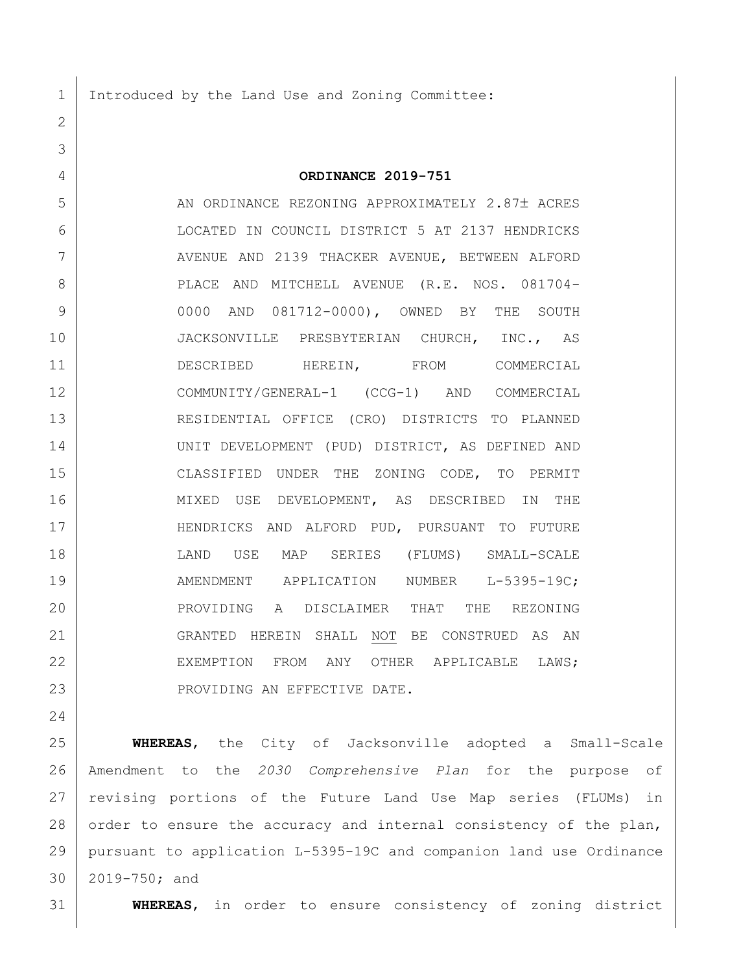1 Introduced by the Land Use and Zoning Committee:

## **ORDINANCE 2019-751**

5 AN ORDINANCE REZONING APPROXIMATELY 2.87± ACRES LOCATED IN COUNCIL DISTRICT 5 AT 2137 HENDRICKS 7 | AVENUE AND 2139 THACKER AVENUE, BETWEEN ALFORD 8 | PLACE AND MITCHELL AVENUE (R.E. NOS. 081704- 0000 AND 081712-0000), OWNED BY THE SOUTH 10 JACKSONVILLE PRESBYTERIAN CHURCH, INC., AS 11 DESCRIBED HEREIN, FROM COMMERCIAL COMMUNITY/GENERAL-1 (CCG-1) AND COMMERCIAL RESIDENTIAL OFFICE (CRO) DISTRICTS TO PLANNED UNIT DEVELOPMENT (PUD) DISTRICT, AS DEFINED AND CLASSIFIED UNDER THE ZONING CODE, TO PERMIT MIXED USE DEVELOPMENT, AS DESCRIBED IN THE HENDRICKS AND ALFORD PUD, PURSUANT TO FUTURE LAND USE MAP SERIES (FLUMS) SMALL-SCALE 19 | AMENDMENT APPLICATION NUMBER L-5395-19C; PROVIDING A DISCLAIMER THAT THE REZONING GRANTED HEREIN SHALL NOT BE CONSTRUED AS AN 22 EXEMPTION FROM ANY OTHER APPLICABLE LAWS; 23 | PROVIDING AN EFFECTIVE DATE.

 **WHEREAS**, the City of Jacksonville adopted a Small-Scale Amendment to the *2030 Comprehensive Plan* for the purpose of revising portions of the Future Land Use Map series (FLUMs) in 28 order to ensure the accuracy and internal consistency of the plan, pursuant to application L-5395-19C and companion land use Ordinance 2019-750; and

**WHEREAS**, in order to ensure consistency of zoning district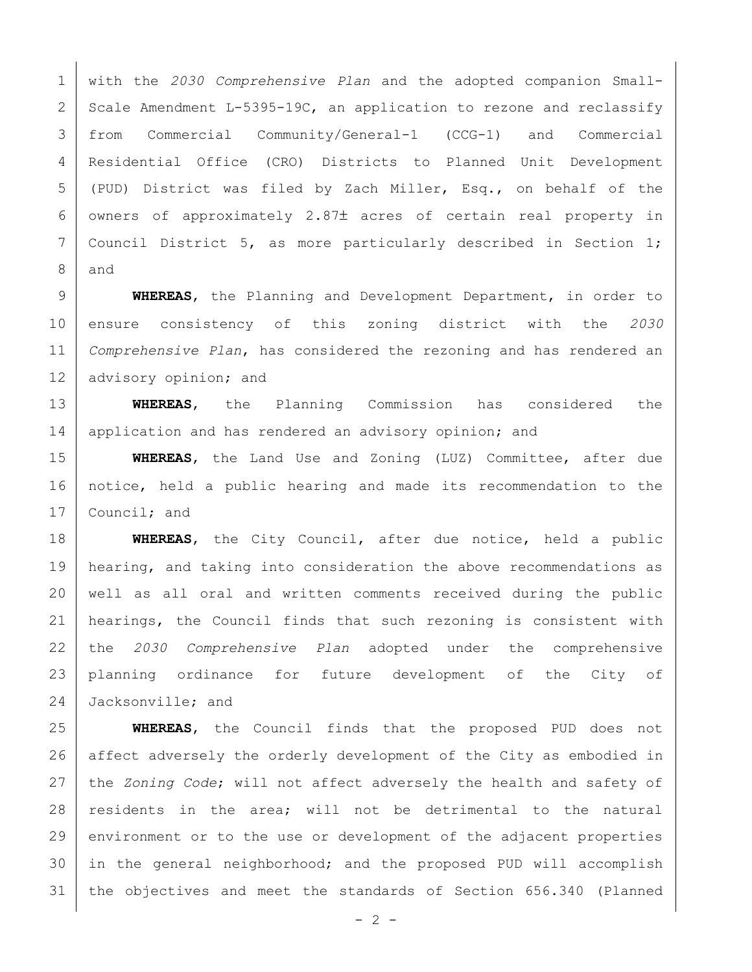with the *2030 Comprehensive Plan* and the adopted companion Small-2 Scale Amendment L-5395-19C, an application to rezone and reclassify from Commercial Community/General-1 (CCG-1) and Commercial Residential Office (CRO) Districts to Planned Unit Development (PUD) District was filed by Zach Miller, Esq., on behalf of the owners of approximately 2.87 $\pm$  acres of certain real property in 7 Council District 5, as more particularly described in Section 1; and

 **WHEREAS**, the Planning and Development Department, in order to ensure consistency of this zoning district with the *2030 Comprehensive Plan*, has considered the rezoning and has rendered an 12 | advisory opinion; and

 **WHEREAS**, the Planning Commission has considered the 14 | application and has rendered an advisory opinion; and

 **WHEREAS**, the Land Use and Zoning (LUZ) Committee, after due notice, held a public hearing and made its recommendation to the 17 Council; and

 **WHEREAS**, the City Council, after due notice, held a public 19 | hearing, and taking into consideration the above recommendations as well as all oral and written comments received during the public 21 | hearings, the Council finds that such rezoning is consistent with the *2030 Comprehensive Plan* adopted under the comprehensive planning ordinance for future development of the City of 24 Jacksonville; and

 **WHEREAS**, the Council finds that the proposed PUD does not 26 affect adversely the orderly development of the City as embodied in the *Zoning Code*; will not affect adversely the health and safety of residents in the area; will not be detrimental to the natural 29 environment or to the use or development of the adjacent properties in the general neighborhood; and the proposed PUD will accomplish the objectives and meet the standards of Section 656.340 (Planned

 $- 2 -$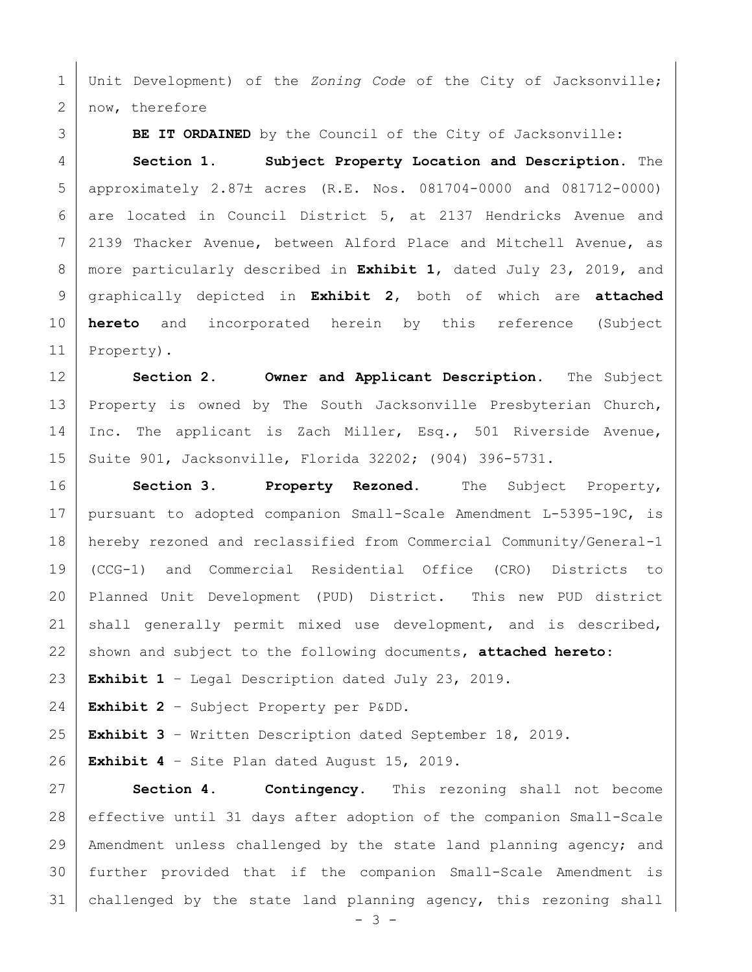Unit Development) of the *Zoning Code* of the City of Jacksonville; 2 | now, therefore

**BE IT ORDAINED** by the Council of the City of Jacksonville:

 **Section 1. Subject Property Location and Description.** The 5 | approximately 2.87± acres (R.E. Nos. 081704-0000 and 081712-0000) are located in Council District 5, at 2137 Hendricks Avenue and 2139 Thacker Avenue, between Alford Place and Mitchell Avenue, as more particularly described in **Exhibit 1**, dated July 23, 2019, and graphically depicted in **Exhibit 2**, both of which are **attached hereto** and incorporated herein by this reference (Subject Property).

 **Section 2. Owner and Applicant Description.** The Subject 13 Property is owned by The South Jacksonville Presbyterian Church, 14 Inc. The applicant is Zach Miller, Esq., 501 Riverside Avenue, Suite 901, Jacksonville, Florida 32202; (904) 396-5731.

 **Section 3. Property Rezoned.** The Subject Property, pursuant to adopted companion Small-Scale Amendment L-5395-19C, is hereby rezoned and reclassified from Commercial Community/General-1 (CCG-1) and Commercial Residential Office (CRO) Districts to Planned Unit Development (PUD) District. This new PUD district shall generally permit mixed use development, and is described, shown and subject to the following documents, **attached hereto**:

**Exhibit 1** – Legal Description dated July 23, 2019.

**Exhibit 2** – Subject Property per P&DD.

**Exhibit 3** – Written Description dated September 18, 2019.

**Exhibit 4** – Site Plan dated August 15, 2019.

 **Section 4. Contingency.** This rezoning shall not become effective until 31 days after adoption of the companion Small-Scale Amendment unless challenged by the state land planning agency; and further provided that if the companion Small-Scale Amendment is challenged by the state land planning agency, this rezoning shall

 $- 3 -$